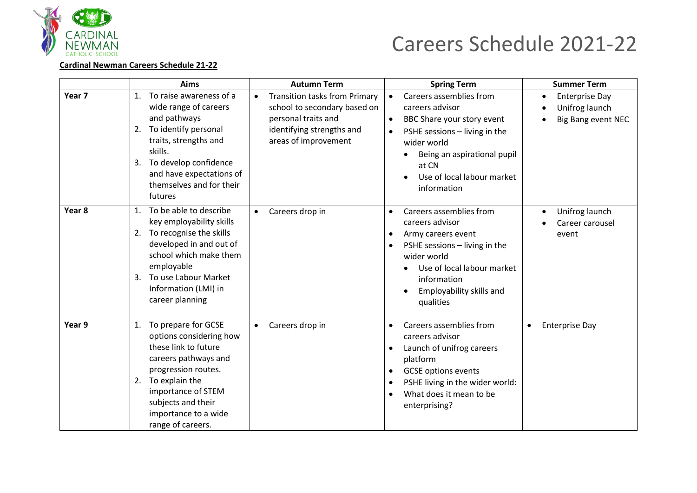

## Careers Schedule 2021-22

## **Cardinal Newman Careers Schedule 21-22**

|        | Aims                                                                                                                                                                                                                                                   | <b>Autumn Term</b>                                                                                                                                            | <b>Spring Term</b>                                                                                                                                                                                                                            | <b>Summer Term</b>                                                              |
|--------|--------------------------------------------------------------------------------------------------------------------------------------------------------------------------------------------------------------------------------------------------------|---------------------------------------------------------------------------------------------------------------------------------------------------------------|-----------------------------------------------------------------------------------------------------------------------------------------------------------------------------------------------------------------------------------------------|---------------------------------------------------------------------------------|
| Year 7 | To raise awareness of a<br>$\mathbf{1}$ .<br>wide range of careers<br>and pathways<br>To identify personal<br>2.<br>traits, strengths and<br>skills.<br>To develop confidence<br>3.<br>and have expectations of<br>themselves and for their<br>futures | <b>Transition tasks from Primary</b><br>$\bullet$<br>school to secondary based on<br>personal traits and<br>identifying strengths and<br>areas of improvement | Careers assemblies from<br>careers advisor<br>BBC Share your story event<br>$\bullet$<br>PSHE sessions - living in the<br>$\bullet$<br>wider world<br>Being an aspirational pupil<br>at CN<br>Use of local labour market<br>information       | <b>Enterprise Day</b><br>٠<br>Unifrog launch<br>$\bullet$<br>Big Bang event NEC |
| Year 8 | To be able to describe<br>1.<br>key employability skills<br>2. To recognise the skills<br>developed in and out of<br>school which make them<br>employable<br>To use Labour Market<br>3.<br>Information (LMI) in<br>career planning                     | Careers drop in<br>$\bullet$                                                                                                                                  | Careers assemblies from<br>$\bullet$<br>careers advisor<br>Army careers event<br>$\bullet$<br>PSHE sessions - living in the<br>$\bullet$<br>wider world<br>Use of local labour market<br>information<br>Employability skills and<br>qualities | Unifrog launch<br>٠<br>Career carousel<br>event                                 |
| Year 9 | To prepare for GCSE<br>1.<br>options considering how<br>these link to future<br>careers pathways and<br>progression routes.<br>To explain the<br>2.<br>importance of STEM<br>subjects and their<br>importance to a wide<br>range of careers.           | Careers drop in<br>$\bullet$                                                                                                                                  | Careers assemblies from<br>$\bullet$<br>careers advisor<br>Launch of unifrog careers<br>٠<br>platform<br><b>GCSE options events</b><br>$\bullet$<br>PSHE living in the wider world:<br>$\bullet$<br>What does it mean to be<br>enterprising?  | <b>Enterprise Day</b><br>$\bullet$                                              |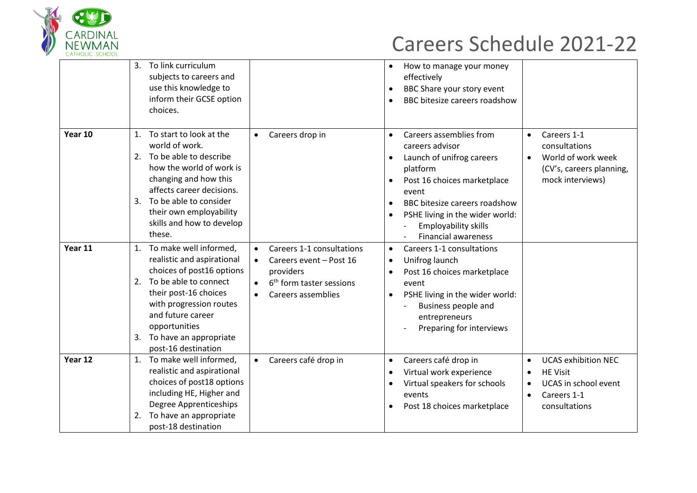

## Careers Schedule 2021-22

|         | To link curriculum<br>3.<br>subjects to careers and<br>use this knowledge to<br>inform their GCSE option<br>choices.                                                                                                                                                    |                                                                                                                                                                               | How to manage your money<br>$\bullet$<br>effectively<br>BBC Share your story event<br>$\bullet$<br>BBC bitesize careers roadshow<br>$\bullet$                                                                                                                                                                                 |                                                                                                                                              |
|---------|-------------------------------------------------------------------------------------------------------------------------------------------------------------------------------------------------------------------------------------------------------------------------|-------------------------------------------------------------------------------------------------------------------------------------------------------------------------------|-------------------------------------------------------------------------------------------------------------------------------------------------------------------------------------------------------------------------------------------------------------------------------------------------------------------------------|----------------------------------------------------------------------------------------------------------------------------------------------|
| Year 10 | To start to look at the<br>1.<br>world of work.<br>To be able to describe<br>2.<br>how the world of work is<br>changing and how this<br>affects career decisions.<br>To be able to consider<br>3.<br>their own employability<br>skills and how to develop<br>these.     | Careers drop in<br>$\bullet$                                                                                                                                                  | Careers assemblies from<br>$\bullet$<br>careers advisor<br>Launch of unifrog careers<br>$\bullet$<br>platform<br>Post 16 choices marketplace<br>$\bullet$<br>event<br>BBC bitesize careers roadshow<br>$\bullet$<br>PSHE living in the wider world:<br>$\bullet$<br><b>Employability skills</b><br><b>Financial awareness</b> | Careers 1-1<br>$\bullet$<br>consultations<br>World of work week<br>(CV's, careers planning,<br>mock interviews)                              |
| Year 11 | To make well informed,<br>1.<br>realistic and aspirational<br>choices of post16 options<br>To be able to connect<br>2.<br>their post-16 choices<br>with progression routes<br>and future career<br>opportunities<br>To have an appropriate<br>3.<br>post-16 destination | Careers 1-1 consultations<br>$\bullet$<br>Careers event - Post 16<br>$\bullet$<br>providers<br>6 <sup>th</sup> form taster sessions<br><b>Careers assemblies</b><br>$\bullet$ | Careers 1-1 consultations<br>$\bullet$<br>Unifrog launch<br>$\bullet$<br>Post 16 choices marketplace<br>$\bullet$<br>event<br>PSHE living in the wider world:<br>$\bullet$<br>Business people and<br>entrepreneurs<br>Preparing for interviews                                                                                |                                                                                                                                              |
| Year 12 | To make well informed,<br>1.<br>realistic and aspirational<br>choices of post18 options<br>including HE, Higher and<br>Degree Apprenticeships<br>To have an appropriate<br>2.<br>post-18 destination                                                                    | Careers café drop in<br>$\bullet$                                                                                                                                             | Careers café drop in<br>$\bullet$<br>Virtual work experience<br>$\bullet$<br>Virtual speakers for schools<br>$\bullet$<br>events<br>Post 18 choices marketplace<br>$\bullet$                                                                                                                                                  | <b>UCAS exhibition NEC</b><br>$\bullet$<br><b>HE Visit</b><br>$\bullet$<br>UCAS in school event<br>Careers 1-1<br>$\bullet$<br>consultations |